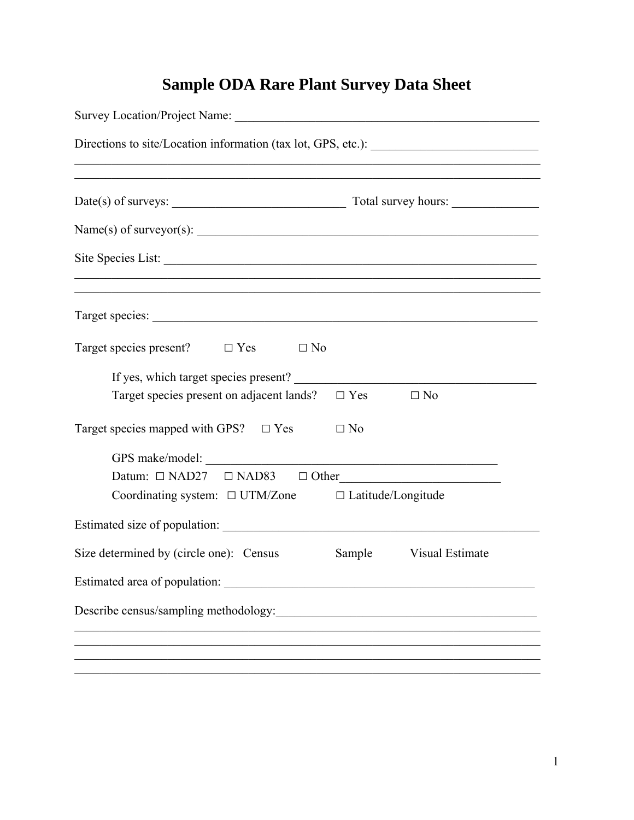## **Sample ODA Rare Plant Survey Data Sheet**

| ,我们也不能在这里的时候,我们也不能在这里的时候,我们也不能在这里的时候,我们也不能会在这里的时候,我们也不能会在这里的时候,我们也不能会在这里的时候,我们也不 |  |                        |  |
|----------------------------------------------------------------------------------|--|------------------------|--|
| Name(s) of surveyor(s):                                                          |  |                        |  |
| Site Species List:                                                               |  |                        |  |
| Target species:                                                                  |  |                        |  |
| Target species present? $\Box$ Yes $\Box$ No                                     |  |                        |  |
|                                                                                  |  |                        |  |
| Target species present on adjacent lands? $\square$ Yes $\square$ No             |  |                        |  |
| Target species mapped with GPS? $\Box$ Yes $\Box$ No                             |  |                        |  |
|                                                                                  |  |                        |  |
| Datum: $\Box$ NAD27 $\Box$ NAD83 $\Box$ Other                                    |  |                        |  |
| Coordinating system: $\Box$ UTM/Zone $\Box$ Latitude/Longitude                   |  |                        |  |
|                                                                                  |  |                        |  |
| Size determined by (circle one): Census                                          |  | Sample Visual Estimate |  |
|                                                                                  |  |                        |  |
|                                                                                  |  |                        |  |
|                                                                                  |  |                        |  |
|                                                                                  |  |                        |  |
|                                                                                  |  |                        |  |